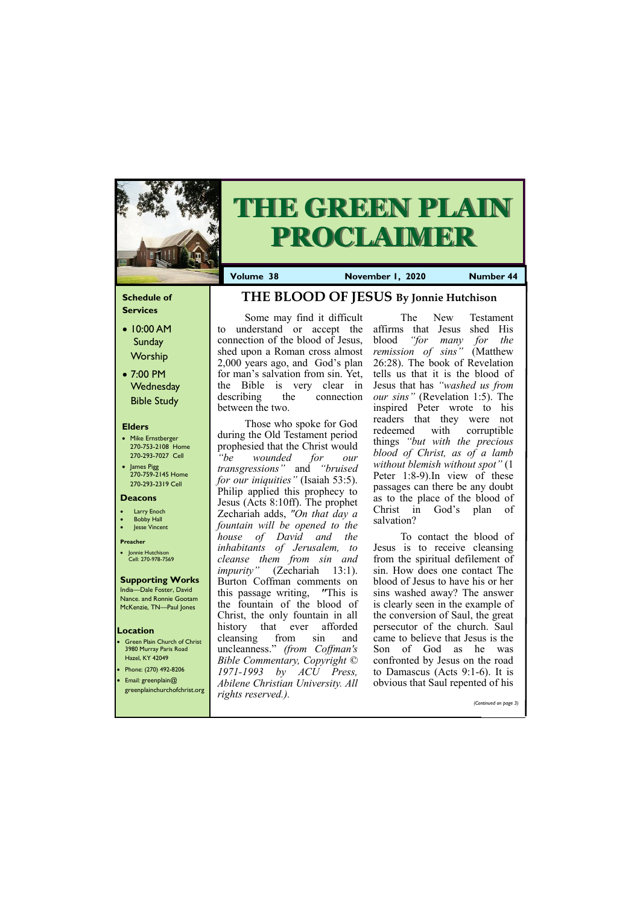### **Schedule of Services**

- 10:00 AM Sunday **Worship**
- 7:00 PM **Wednesday** Bible Study

#### **Elders**

- Mike Ernstberger 270-753-2108 Home 270-293-7027 Cell
- James Pigg 270-759-2145 Home 270-293-2319 Cell

- **Green Plain Church of Christ** 3980 Murray Paris Road Hazel, KY 42049 • Phone: (270) 492-8206
- Email: greenplain@

#### **Location**



# **THE GREEN PLAIN PROCLAIMER**

**Volume 38 November 1, 2020 Number 44** 

#### **Deacons**

- **Larry Enoch**
- **Bobby Hall**
- **Jesse Vincent**

#### **Preacher**

• Jonnie Hutchison Cell: 270-978-7569

#### **Supporting Works** India—Dale Foster, David

Nance. and Ronnie Gootam McKenzie, TN—Paul Jones

Some may find it difficult to understand or accept the connection of the blood of Jesus, shed upon a Roman cross almost 2,000 years ago, and God's plan for man's salvation from sin. Yet, the Bible is very clear in describing the connection between the two.

Those who spoke for God during the Old Testament period prophesied that the Christ would *"be wounded for our transgressions"* and *"bruised for our iniquities"* (Isaiah 53:5). Philip applied this prophecy to Jesus (Acts 8:10ff). The prophet Zechariah adds, *"On that day a fountain will be opened to the house of David and the inhabitants of Jerusalem, to cleanse them from sin and impurity"* (Zechariah 13:1). Burton Coffman comments on this passage writing, *"*This is the fountain of the blood of Christ, the only fountain in all history that ever afforded cleansing from sin and uncleanness." *(from Coffman's Bible Commentary, Copyright © 1971-1993 by ACU Press, Abilene Christian University. All* 

| greenplainchurchofchrist.org | Abuene Christian University. All<br>rights reserved.). | <u>oovious mat Baul Tepenicu of ms</u> |
|------------------------------|--------------------------------------------------------|----------------------------------------|
|                              |                                                        | (Continued on page 3)                  |

The New Testament affirms that Jesus shed His blood *"for many for the remission of sins"* (Matthew 26:28). The book of Revelation tells us that it is the blood of Jesus that has *"washed us from our sins"* (Revelation 1:5). The inspired Peter wrote to his readers that they were not redeemed with corruptible things *"but with the precious blood of Christ, as of a lamb without blemish without spot"* (1 Peter 1:8-9).In view of these passages can there be any doubt as to the place of the blood of Christ in God's plan of salvation?

To contact the blood of Jesus is to receive cleansing from the spiritual defilement of sin. How does one contact The blood of Jesus to have his or her sins washed away? The answer is clearly seen in the example of the conversion of Saul, the great persecutor of the church. Saul came to believe that Jesus is the Son of God as he was confronted by Jesus on the road to Damascus (Acts 9:1-6). It is obvious that Saul repented of his

# **THE BLOOD OF JESUS By Jonnie Hutchison**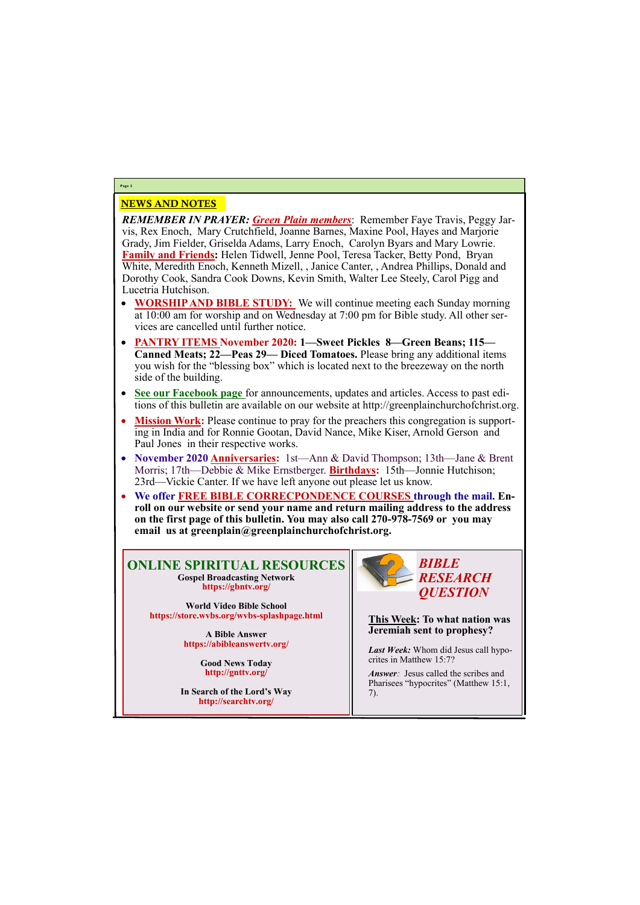## NEWS AND NOTES

*REMEMBER IN PRAYER: Green Plain members*: Remember Faye Travis, Peggy Jarvis, Rex Enoch, Mary Crutchfield, Joanne Barnes, Maxine Pool, Hayes and Marjorie Grady, Jim Fielder, Griselda Adams, Larry Enoch, Carolyn Byars and Mary Lowrie. **Family and Friends:** Helen Tidwell, Jenne Pool, Teresa Tacker, Betty Pond, Bryan White, Meredith Enoch, Kenneth Mizell, , Janice Canter, , Andrea Phillips, Donald and Dorothy Cook, Sandra Cook Downs, Kevin Smith, Walter Lee Steely, Carol Pigg and Lucetria Hutchison.

- **WORSHIP AND BIBLE STUDY:** We will continue meeting each Sunday morning at 10:00 am for worship and on Wednesday at 7:00 pm for Bible study. All other services are cancelled until further notice.
- **PANTRY ITEMS November 2020: 1—Sweet Pickles 8—Green Beans; 115— Canned Meats; 22—Peas 29— Diced Tomatoes.** Please bring any additional items you wish for the "blessing box" which is located next to the breezeway on the north side of the building.
- **See our Facebook page** for announcements, updates and articles. Access to past editions of this bulletin are available on our website at http://greenplainchurchofchrist.org.
- **Mission Work:** Please continue to pray for the preachers this congregation is supporting in India and for Ronnie Gootan, David Nance, Mike Kiser, Arnold Gerson and Paul Jones in their respective works.
- **November 2020 Anniversaries:** 1st—Ann & David Thompson; 13th—Jane & Brent Morris; 17th—Debbie & Mike Ernstberger. **Birthdays:** 15th—Jonnie Hutchison; 23rd—Vickie Canter. If we have left anyone out please let us know.
- **We offer FREE BIBLE CORRECPONDENCE COURSES through the mail. Enroll on our website or send your name and return mailing address to the address on the first page of this bulletin. You may also call 270-978-7569 or you may email us at greenplain@greenplainchurchofchrist.org.**

# **Page 2**

## **ONLINE SPIRITUAL RESOURCES Gospel Broadcasting Network https://gbntv.org/**

**World Video Bible School https://store.wvbs.org/wvbs-splashpage.html**

> **A Bible Answer https://abibleanswertv.org/**

> > **Good News Today http://gnttv.org/**

**In Search of the Lord's Way http://searchtv.org/**



**This Week: To what nation was Jeremiah sent to prophesy?**

*Last Week:* Whom did Jesus call hypocrites in Matthew 15:7?

*Answer:* Jesus called the scribes and

Pharisees "hypocrites" (Matthew 15:1, 7).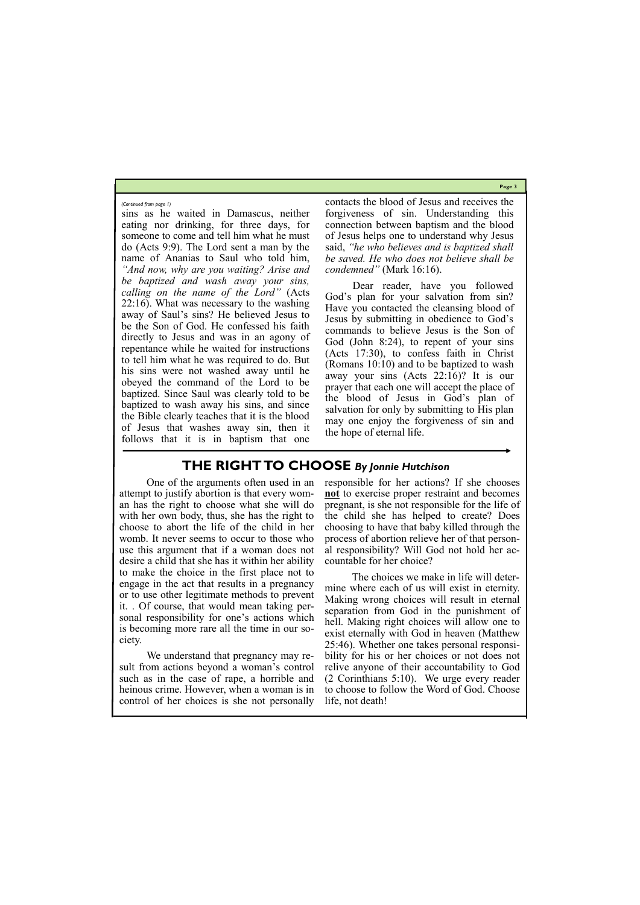**Page 3**

sins as he waited in Damascus, neither eating nor drinking, for three days, for someone to come and tell him what he must do (Acts 9:9). The Lord sent a man by the name of Ananias to Saul who told him, *"And now, why are you waiting? Arise and be baptized and wash away your sins, calling on the name of the Lord"* (Acts 22:16). What was necessary to the washing away of Saul's sins? He believed Jesus to be the Son of God. He confessed his faith directly to Jesus and was in an agony of repentance while he waited for instructions to tell him what he was required to do. But his sins were not washed away until he obeyed the command of the Lord to be baptized. Since Saul was clearly told to be baptized to wash away his sins, and since the Bible clearly teaches that it is the blood of Jesus that washes away sin, then it follows that it is in baptism that one

contacts the blood of Jesus and receives the forgiveness of sin. Understanding this connection between baptism and the blood of Jesus helps one to understand why Jesus said, *"he who believes and is baptized shall be saved. He who does not believe shall be condemned"* (Mark 16:16).

Dear reader, have you followed God's plan for your salvation from sin? Have you contacted the cleansing blood of Jesus by submitting in obedience to God's commands to believe Jesus is the Son of God (John 8:24), to repent of your sins (Acts 17:30), to confess faith in Christ (Romans 10:10) and to be baptized to wash away your sins (Acts 22:16)? It is our prayer that each one will accept the place of the blood of Jesus in God's plan of salvation for only by submitting to His plan may one enjoy the forgiveness of sin and the hope of eternal life.

*(Continued from page 1)*

## **THE RIGHT TO CHOOSE** *By Jonnie Hutchison*

One of the arguments often used in an attempt to justify abortion is that every woman has the right to choose what she will do with her own body, thus, she has the right to choose to abort the life of the child in her womb. It never seems to occur to those who use this argument that if a woman does not desire a child that she has it within her ability to make the choice in the first place not to engage in the act that results in a pregnancy or to use other legitimate methods to prevent it. . Of course, that would mean taking personal responsibility for one's actions which is becoming more rare all the time in our society.

We understand that pregnancy may result from actions beyond a woman's control such as in the case of rape, a horrible and

responsible for her actions? If she chooses **not** to exercise proper restraint and becomes pregnant, is she not responsible for the life of the child she has helped to create? Does choosing to have that baby killed through the process of abortion relieve her of that personal responsibility? Will God not hold her accountable for her choice?

heinous crime. However, when a woman is in to choose to follow the Word of God. Choose control of her choices is she not personally life, not death!

The choices we make in life will determine where each of us will exist in eternity. Making wrong choices will result in eternal separation from God in the punishment of hell. Making right choices will allow one to exist eternally with God in heaven (Matthew 25:46). Whether one takes personal responsibility for his or her choices or not does not relive anyone of their accountability to God (2 Corinthians 5:10). We urge every reader